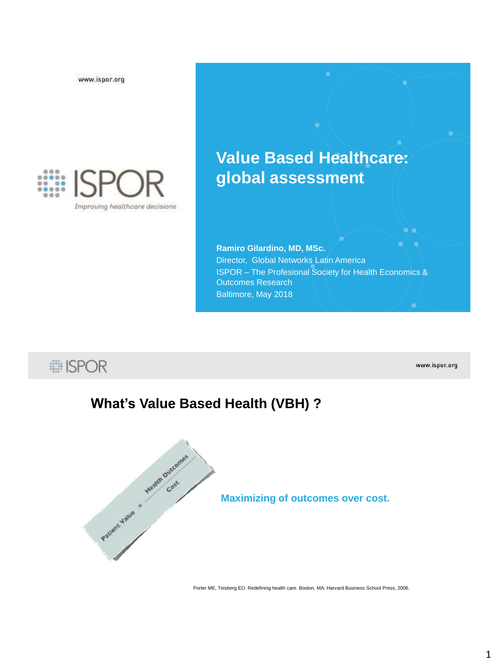www.ispor.org



# **Value Based Healthcare: global assessment**

**Ramiro Gilardino, MD, MSc.** Director, Global Networks Latin America ISPOR – The Profesional Society for Health Economics & Outcomes Research Baltimore, May 2018

**i ISPOR** 

www.ispor.org

 $\bullet$  .

### **What's Value Based Health (VBH) ?**



**Maximizing of outcomes over cost.** 

Porter ME, Teisberg EO. Redefining health care. Boston, MA: Harvard Business School Press, 2006.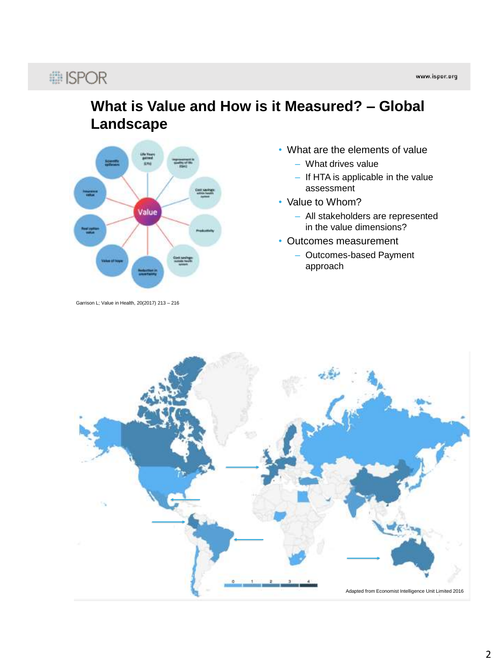# : ISPOR

### **What is Value and How is it Measured? – Global Landscape**



Garrison L; Value in Health, 20(2017) 213 – 216

- What are the elements of value
	- What drives value
	- If HTA is applicable in the value assessment
- Value to Whom?
	- All stakeholders are represented in the value dimensions?
- Outcomes measurement
	- Outcomes-based Payment approach

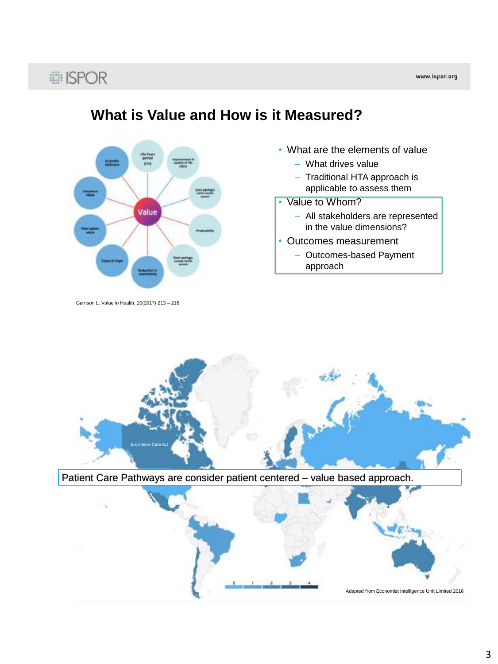### **... ISPOR**



Garrison L; Value in Health, 20(2017) 213 – 216

### **What is Value and How is it Measured?**

- What are the elements of value
	- What drives value
	- Traditional HTA approach is applicable to assess them
- Value to Whom?
	- All stakeholders are represented in the value dimensions?
- Outcomes measurement
	- Outcomes-based Payment approach

Excellence Care Act

Patient Care Pathways are consider patient centered – value based approach.

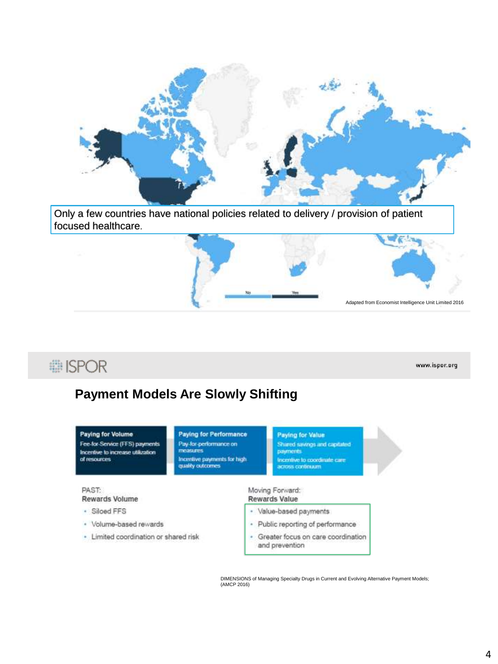

Only a few countries have national policies related to delivery / provision of patient focused healthcare.



### : ISPOR

www.ispor.org

### **Payment Models Are Slowly Shifting**

| <b>Paying for Volume</b><br>Fee-for-Service (FFS) payments<br>Incentive to increase utilization<br>of resources | <b>Paying for Performance</b><br>Pay-for-performance on<br><b><i>TECASLETS</i></b><br>Incentive payments for high.<br>quality outcomes. | <b>Paying for Value</b><br>Shared savings and capitated<br><b>DIRITIONS</b><br>Incentive to coordinate care<br>across continuum |
|-----------------------------------------------------------------------------------------------------------------|-----------------------------------------------------------------------------------------------------------------------------------------|---------------------------------------------------------------------------------------------------------------------------------|
| PAST:<br><b>Rewards Volume</b>                                                                                  |                                                                                                                                         | Moving Forward:<br><b>Rewards Value</b>                                                                                         |
| · Siloed FFS                                                                                                    |                                                                                                                                         | · Value-based payments                                                                                                          |
| · Volume-based rewards                                                                                          |                                                                                                                                         | Public reporting of performance                                                                                                 |
| Limited coordination or shared risk                                                                             |                                                                                                                                         | Greater focus on care coordination                                                                                              |

DIMENSIONS of Managing Specialty Drugs in Current and Evolving Alternative Payment Models; (AMCP 2016)

and prevention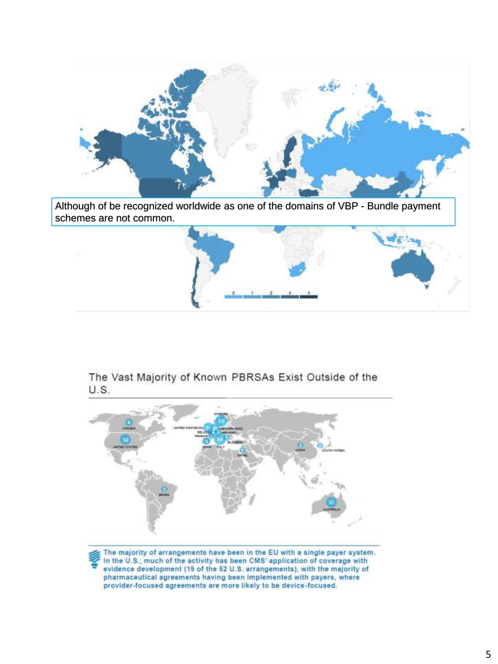

Although of be recognized worldwide as one of the domains of VBP - Bundle payment schemes are not common.



The Vast Majority of Known PBRSAs Exist Outside of the U.S.



In the U.S., much of the activity has been CMS' application of coverage with evidence development (19 of the 52 U.S. arrangements), with the majority of pharmaceutical agreements having been implemented with payers, where provider-focused agreements are more likely to be device-focused.